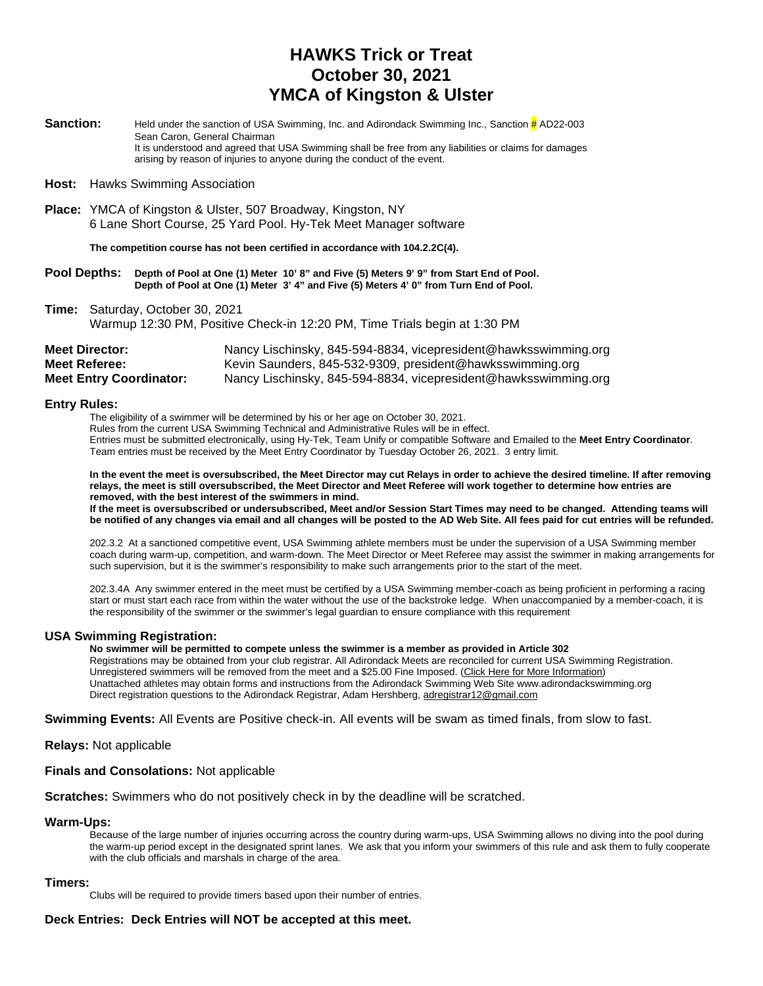## **HAWKS Trick or Treat October 30, 2021 YMCA of Kingston & Ulster**

**Sanction:** Held under the sanction of USA Swimming, Inc. and Adirondack Swimming Inc., Sanction  $\frac{\mu}{H}$ AD22-003 Sean Caron, General Chairman It is understood and agreed that USA Swimming shall be free from any liabilities or claims for damages arising by reason of injuries to anyone during the conduct of the event.

#### **Host:** Hawks Swimming Association

**Place:** YMCA of Kingston & Ulster, 507 Broadway, Kingston, NY 6 Lane Short Course, 25 Yard Pool. Hy-Tek Meet Manager software

**The competition course has not been certified in accordance with 104.2.2C(4).**

#### **Pool Depths: Depth of Pool at One (1) Meter 10' 8" and Five (5) Meters 9' 9" from Start End of Pool. Depth of Pool at One (1) Meter 3' 4" and Five (5) Meters 4' 0" from Turn End of Pool.**

**Time:** Saturday, October 30, 2021 Warmup 12:30 PM, Positive Check-in 12:20 PM, Time Trials begin at 1:30 PM

| <b>Meet Director:</b>          | Nancy Lischinsky, 845-594-8834, vicepresident@hawksswimming.org |
|--------------------------------|-----------------------------------------------------------------|
| Meet Referee:                  | Kevin Saunders, 845-532-9309, president@hawksswimming.org       |
| <b>Meet Entry Coordinator:</b> | Nancy Lischinsky, 845-594-8834, vicepresident@hawksswimming.org |

#### **Entry Rules:**

The eligibility of a swimmer will be determined by his or her age on October 30, 2021.

Rules from the current USA Swimming Technical and Administrative Rules will be in effect. Entries must be submitted electronically, using Hy-Tek, Team Unify or compatible Software and Emailed to the **Meet Entry Coordinator**. Team entries must be received by the Meet Entry Coordinator by Tuesday October 26, 2021. 3 entry limit.

**In the event the meet is oversubscribed, the Meet Director may cut Relays in order to achieve the desired timeline. If after removing relays, the meet is still oversubscribed, the Meet Director and Meet Referee will work together to determine how entries are removed, with the best interest of the swimmers in mind.**

**If the meet is oversubscribed or undersubscribed, Meet and/or Session Start Times may need to be changed. Attending teams will be notified of any changes via email and all changes will be posted to the AD Web Site. All fees paid for cut entries will be refunded.**

202.3.2 At a sanctioned competitive event, USA Swimming athlete members must be under the supervision of a USA Swimming member coach during warm-up, competition, and warm-down. The Meet Director or Meet Referee may assist the swimmer in making arrangements for such supervision, but it is the swimmer's responsibility to make such arrangements prior to the start of the meet.

202.3.4A Any swimmer entered in the meet must be certified by a USA Swimming member-coach as being proficient in performing a racing start or must start each race from within the water without the use of the backstroke ledge. When unaccompanied by a member-coach, it is the responsibility of the swimmer or the swimmer's legal guardian to ensure compliance with this requirement

#### **USA Swimming Registration:**

**No swimmer will be permitted to compete unless the swimmer is a member as provided in Article 302**

Registrations may be obtained from your club registrar. All Adirondack Meets are reconciled for current USA Swimming Registration. Unregistered swimmers will be removed from the meet and a \$25.00 Fine Imposed. (Click Here for More Information) Unattached athletes may obtain forms and instructions from the Adirondack Swimming Web Site www.adirondackswimming.org Direct registration questions to the Adirondack Registrar, Adam Hershberg[, adregistrar12@gmail.com](mailto:adregistrar12@gmail.com)

**Swimming Events:** All Events are Positive check-in. All events will be swam as timed finals, from slow to fast.

**Relays:** Not applicable

#### **Finals and Consolations:** Not applicable

**Scratches:** Swimmers who do not positively check in by the deadline will be scratched.

#### **Warm-Ups:**

Because of the large number of injuries occurring across the country during warm-ups, USA Swimming allows no diving into the pool during the warm-up period except in the designated sprint lanes. We ask that you inform your swimmers of this rule and ask them to fully cooperate with the club officials and marshals in charge of the area.

#### **Timers:**

Clubs will be required to provide timers based upon their number of entries.

#### **Deck Entries: Deck Entries will NOT be accepted at this meet.**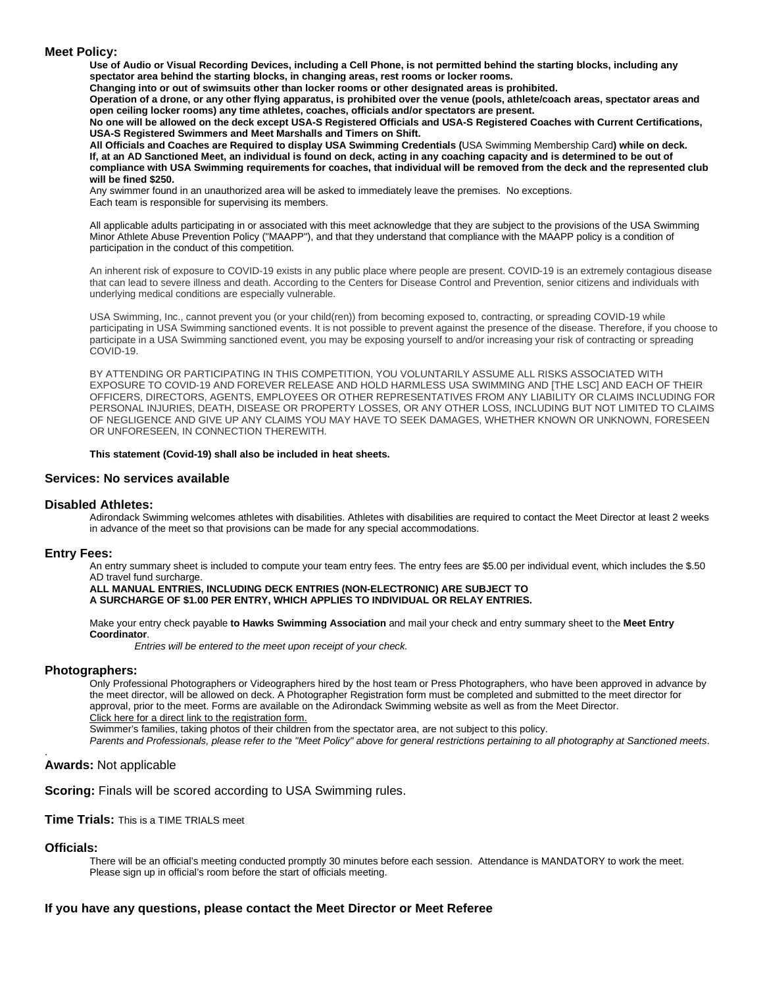#### **Meet Policy:**

**Use of Audio or Visual Recording Devices, including a Cell Phone, is not permitted behind the starting blocks, including any spectator area behind the starting blocks, in changing areas, rest rooms or locker rooms.**

**Changing into or out of swimsuits other than locker rooms or other designated areas is prohibited.**

**Operation of a drone, or any other flying apparatus, is prohibited over the venue (pools, athlete/coach areas, spectator areas and open ceiling locker rooms) any time athletes, coaches, officials and/or spectators are present.**

**No one will be allowed on the deck except USA-S Registered Officials and USA-S Registered Coaches with Current Certifications, USA-S Registered Swimmers and Meet Marshalls and Timers on Shift.**

**All Officials and Coaches are Required to display USA Swimming Credentials (**USA Swimming Membership Card**) while on deck. If, at an AD Sanctioned Meet, an individual is found on deck, acting in any coaching capacity and is determined to be out of compliance with USA Swimming requirements for coaches, that individual will be removed from the deck and the represented club will be fined \$250.**

Any swimmer found in an unauthorized area will be asked to immediately leave the premises. No exceptions. Each team is responsible for supervising its members.

All applicable adults participating in or associated with this meet acknowledge that they are subject to the provisions of the USA Swimming Minor Athlete Abuse Prevention Policy ("MAAPP"), and that they understand that compliance with the MAAPP policy is a condition of participation in the conduct of this competition.

An inherent risk of exposure to COVID-19 exists in any public place where people are present. COVID-19 is an extremely contagious disease that can lead to severe illness and death. According to the Centers for Disease Control and Prevention, senior citizens and individuals with underlying medical conditions are especially vulnerable.

USA Swimming, Inc., cannot prevent you (or your child(ren)) from becoming exposed to, contracting, or spreading COVID-19 while participating in USA Swimming sanctioned events. It is not possible to prevent against the presence of the disease. Therefore, if you choose to participate in a USA Swimming sanctioned event, you may be exposing yourself to and/or increasing your risk of contracting or spreading COVID-19.

BY ATTENDING OR PARTICIPATING IN THIS COMPETITION, YOU VOLUNTARILY ASSUME ALL RISKS ASSOCIATED WITH EXPOSURE TO COVID-19 AND FOREVER RELEASE AND HOLD HARMLESS USA SWIMMING AND [THE LSC] AND EACH OF THEIR OFFICERS, DIRECTORS, AGENTS, EMPLOYEES OR OTHER REPRESENTATIVES FROM ANY LIABILITY OR CLAIMS INCLUDING FOR PERSONAL INJURIES, DEATH, DISEASE OR PROPERTY LOSSES, OR ANY OTHER LOSS, INCLUDING BUT NOT LIMITED TO CLAIMS OF NEGLIGENCE AND GIVE UP ANY CLAIMS YOU MAY HAVE TO SEEK DAMAGES, WHETHER KNOWN OR UNKNOWN, FORESEEN OR UNFORESEEN, IN CONNECTION THEREWITH.

**This statement (Covid-19) shall also be included in heat sheets.**

#### **Services: No services available**

#### **Disabled Athletes:**

Adirondack Swimming welcomes athletes with disabilities. Athletes with disabilities are required to contact the Meet Director at least 2 weeks in advance of the meet so that provisions can be made for any special accommodations.

#### **Entry Fees:**

An entry summary sheet is included to compute your team entry fees. The entry fees are \$5.00 per individual event, which includes the \$.50 AD travel fund surcharge.

#### **ALL MANUAL ENTRIES, INCLUDING DECK ENTRIES (NON-ELECTRONIC) ARE SUBJECT TO A SURCHARGE OF \$1.00 PER ENTRY, WHICH APPLIES TO INDIVIDUAL OR RELAY ENTRIES.**

Make your entry check payable **to Hawks Swimming Association** and mail your check and entry summary sheet to the **Meet Entry Coordinator**.

*Entries will be entered to the meet upon receipt of your check.*

#### **Photographers:**

Only Professional Photographers or Videographers hired by the host team or Press Photographers, who have been approved in advance by the meet director, will be allowed on deck. A Photographer Registration form must be completed and submitted to the meet director for approval, prior to the meet. Forms are available on the Adirondack Swimming website as well as from the Meet Director. Click here for a direct link to the registration form.

Swimmer's families, taking photos of their children from the spectator area, are not subject to this policy.

*Parents and Professionals, please refer to the "Meet Policy" above for general restrictions pertaining to all photography at Sanctioned meets*.

#### **Awards:** Not applicable

**Scoring:** Finals will be scored according to USA Swimming rules.

**Time Trials:** This is a TIME TRIALS meet

#### **Officials:**

.

There will be an official's meeting conducted promptly 30 minutes before each session. Attendance is MANDATORY to work the meet. Please sign up in official's room before the start of officials meeting.

#### **If you have any questions, please contact the Meet Director or Meet Referee**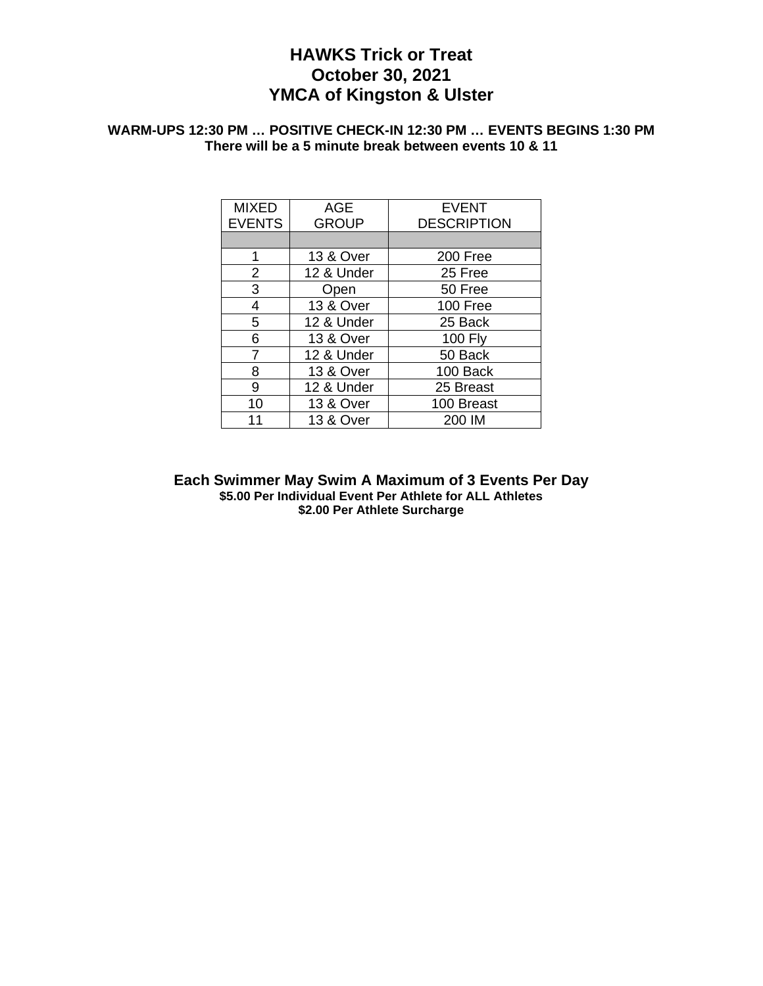## **HAWKS Trick or Treat October 30, 2021 YMCA of Kingston & Ulster**

### **WARM-UPS 12:30 PM … POSITIVE CHECK-IN 12:30 PM … EVENTS BEGINS 1:30 PM There will be a 5 minute break between events 10 & 11**

| <b>MIXED</b>   | <b>AGE</b>           | <b>EVENT</b>       |
|----------------|----------------------|--------------------|
| <b>EVENTS</b>  | <b>GROUP</b>         | <b>DESCRIPTION</b> |
|                |                      |                    |
| 1              | <b>13 &amp; Over</b> | 200 Free           |
| $\overline{2}$ | 12 & Under           | 25 Free            |
| 3              | Open                 | 50 Free            |
| 4              | 13 & Over            | 100 Free           |
| 5              | 12 & Under           | 25 Back            |
| 6              | <b>13 &amp; Over</b> | <b>100 Fly</b>     |
| 7              | 12 & Under           | 50 Back            |
| 8              | <b>13 &amp; Over</b> | 100 Back           |
| 9              | 12 & Under           | 25 Breast          |
| 10             | <b>13 &amp; Over</b> | 100 Breast         |
| 11             | <b>13 &amp; Over</b> | 200 IM             |

**Each Swimmer May Swim A Maximum of 3 Events Per Day \$5.00 Per Individual Event Per Athlete for ALL Athletes \$2.00 Per Athlete Surcharge**